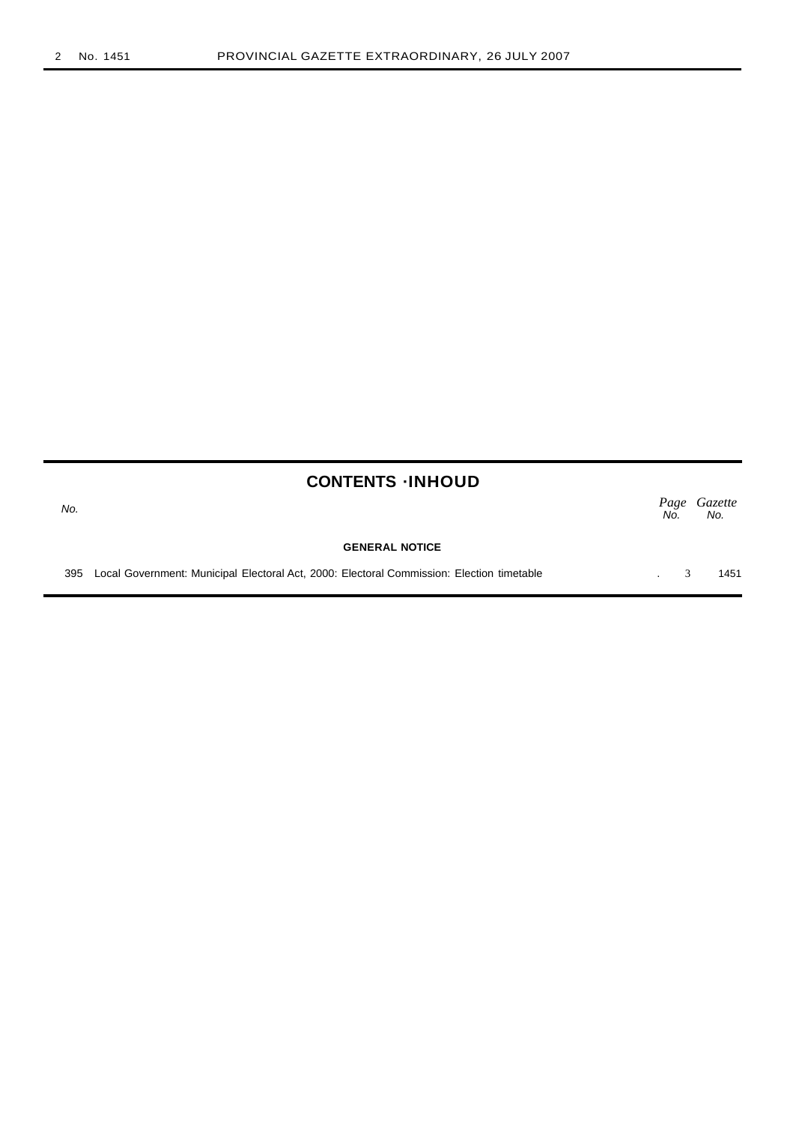No.

| <b>CONTENTS -INHOUD</b> |  |
|-------------------------|--|
|-------------------------|--|

|  |  | Page Gazette<br>No. No. |
|--|--|-------------------------|
|  |  |                         |

#### **GENERAL NOTICE**

395 Local Government: Municipal Electoral Act, 2000: Electoral Commission: Election timetable . 3 1451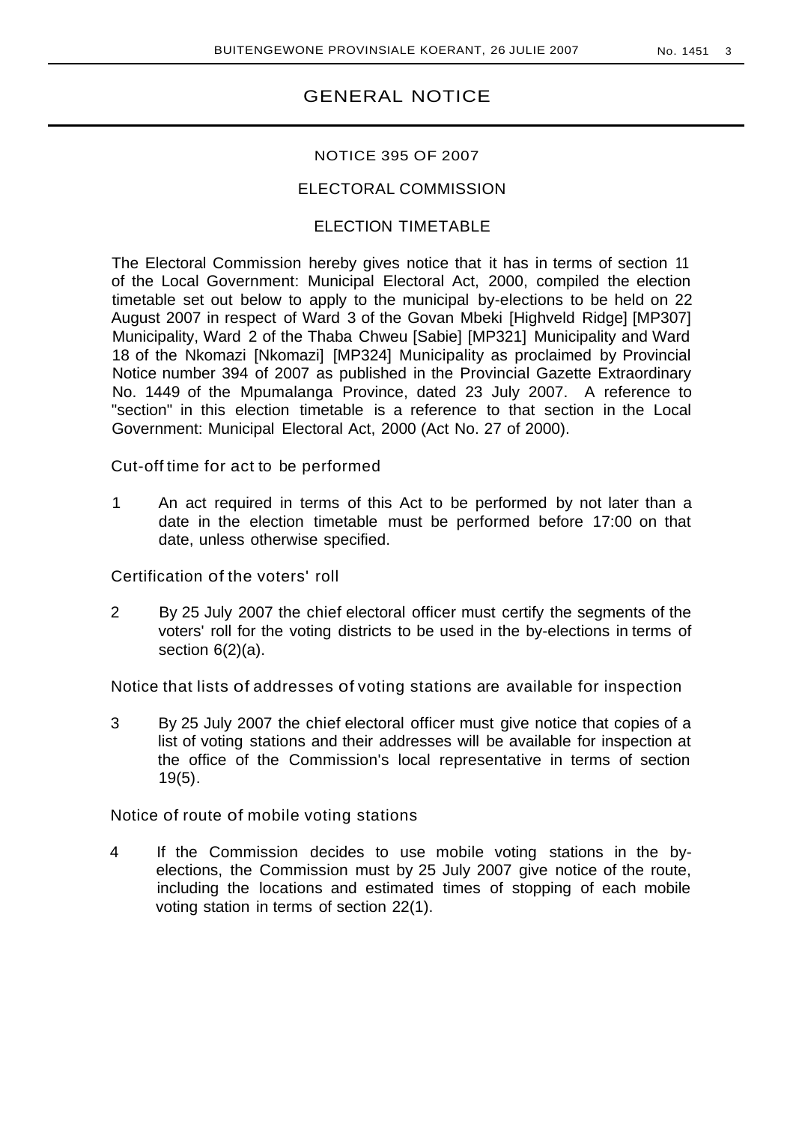# GENERAL NOTICE

### NOTICE 395 OF 2007

## ELECTORAL COMMISSION

# ELECTION TIMETABLE

The Electoral Commission hereby gives notice that it has in terms of section 11 of the Local Government: Municipal Electoral Act, 2000, compiled the election timetable set out below to apply to the municipal by-elections to be held on 22 August 2007 in respect of Ward 3 of the Govan Mbeki [Highveld Ridge] [MP307] Municipality, Ward 2 of the Thaba Chweu [Sabie] [MP321] Municipality and Ward 18 of the Nkomazi [Nkomazi] [MP324] Municipality as proclaimed by Provincial Notice number 394 of 2007 as published in the Provincial Gazette Extraordinary No. 1449 of the Mpumalanga Province, dated 23 July 2007. A reference to "section" in this election timetable is a reference to that section in the Local Government: Municipal Electoral Act, 2000 (Act No. 27 of 2000).

Cut-off time for act to be performed

1 An act required in terms of this Act to be performed by not later than a date in the election timetable must be performed before 17:00 on that date, unless otherwise specified.

Certification of the voters' roll

2 By 25 July 2007 the chief electoral officer must certify the segments of the voters' roll for the voting districts to be used in the by-elections in terms of section 6(2)(a).

Notice that lists of addresses of voting stations are available for inspection

3 By 25 July 2007 the chief electoral officer must give notice that copies of a list of voting stations and their addresses will be available for inspection at the office of the Commission's local representative in terms of section 19(5).

Notice of route of mobile voting stations

4 If the Commission decides to use mobile voting stations in the byelections, the Commission must by 25 July 2007 give notice of the route, including the locations and estimated times of stopping of each mobile voting station in terms of section 22(1).